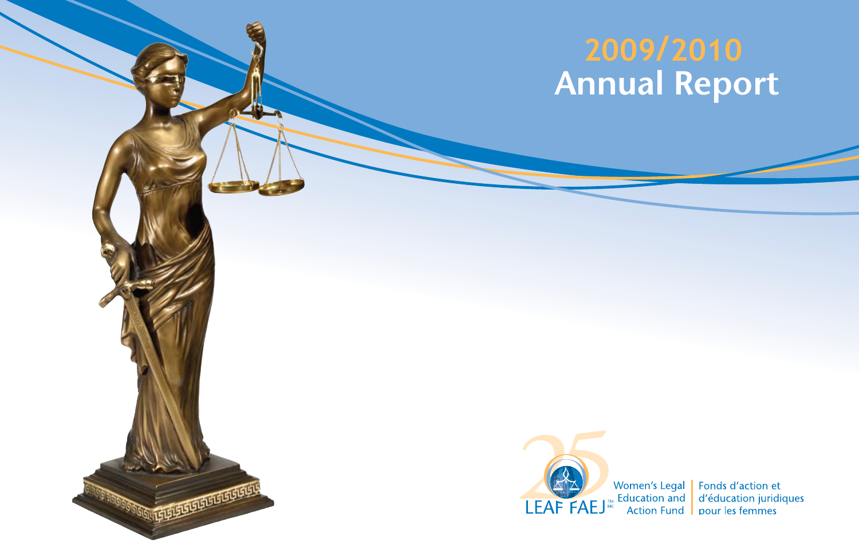# **Annual Report**



**SOLUTION OF THE AUTHOR** 

Fonds d'action et Education and<br>Education and<br>Action Fund pour les femmes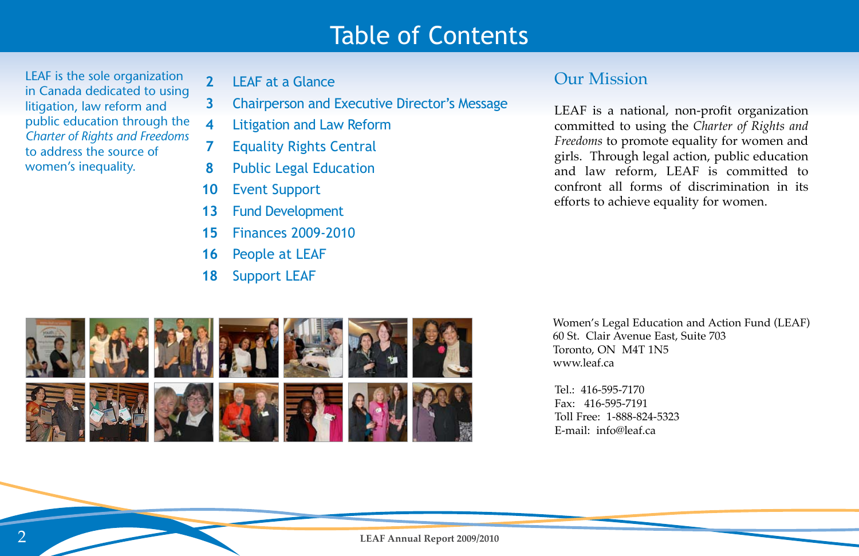# Table of Contents

LEAF is the sole organization in Canada dedicated to using litigation, law reform and public education through the *Charter of Rights and Freedoms* to address the source of women's inequality.

- **2** LEAF at a Glance
- **3** Chairperson and Executive Director's Message
- **4** Litigation and Law Reform
- **7** Equality Rights Central
- **8** Public Legal Education
- **10** Event Support
- **13** Fund Development
- **15** Finances 2009-2010
- **16** People at LEAF
- **18** Support LEAF

# Our Mission

LEAF is a national, non-profit organization committed to using the *Charter of Rights and Freedoms* to promote equality for women and girls. Through legal action, public education and law reform, LEAF is committed to confront all forms of discrimination in its efforts to achieve equality for women.



Women's Legal Education and Action Fund (LEAF) 60 St. Clair Avenue East. Suite 703 Toronto, ON M4T 1N5 www.leaf.ca

Tel.: 416-595-7170 Fax: 416-595-7191 Toll Free: 1-888-824-5323 E-mail: info@leaf.ca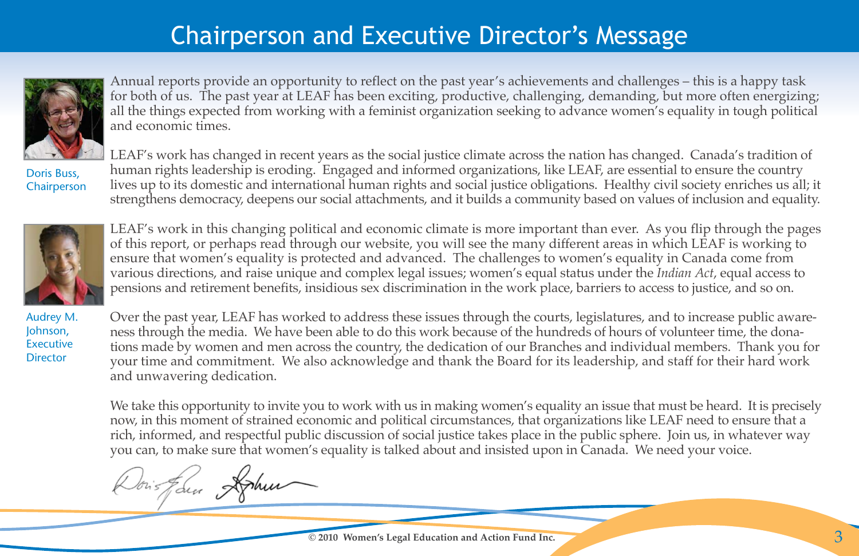# Chairperson and Executive Director's Message



Annual reports provide an opportunity to reflect on the past year's achievements and challenges - this is a happy task for both of us. The past year at LEAF has been exciting, productive, challenging, demanding, but more often energizing; all the things expected from working with a feminist organization seeking to advance women's equality in tough political and economic times.

Doris Buss, Chairperson

LEAF's work has changed in recent years as the social justice climate across the nation has changed. Canada's tradition of human rights leadership is eroding. Engaged and informed organizations, like LEAF, are essential to ensure the country lives up to its domestic and international human rights and social justice obligations. Healthy civil society enriches us all; it strengthens democracy, deepens our social attachments, and it builds a community based on values of inclusion and equality.



LEAF's work in this changing political and economic climate is more important than ever. As you flip through the pages of this report, or perhaps read through our website, you will see the many different areas in which LEAF is working to ensure that women's equality is protected and advanced. The challenges to women's equality in Canada come from various directions, and raise unique and complex legal issues; women's equal status under the *Indian Act*, equal access to pensions and retirement benefits, insidious sex discrimination in the work place, barriers to access to justice, and so on.

Audrey M. Johnson, **Executive Director** 

Over the past year, LEAF has worked to address these issues through the courts, legislatures, and to increase public awareness through the media. We have been able to do this work because of the hundreds of hours of volunteer time, the donations made by women and men across the country, the dedication of our Branches and individual members. Thank you for your time and commitment. We also acknowledge and thank the Board for its leadership, and staff for their hard work and unwavering dedication.

We take this opportunity to invite you to work with us in making women's equality an issue that must be heard. It is precisely now, in this moment of strained economic and political circumstances, that organizations like LEAF need to ensure that a rich, informed, and respectful public discussion of social justice takes place in the public sphere. Join us, in whatever way you can, to make sure that women's equality is talked about and insisted upon in Canada. We need your voice.

bis faur Arhun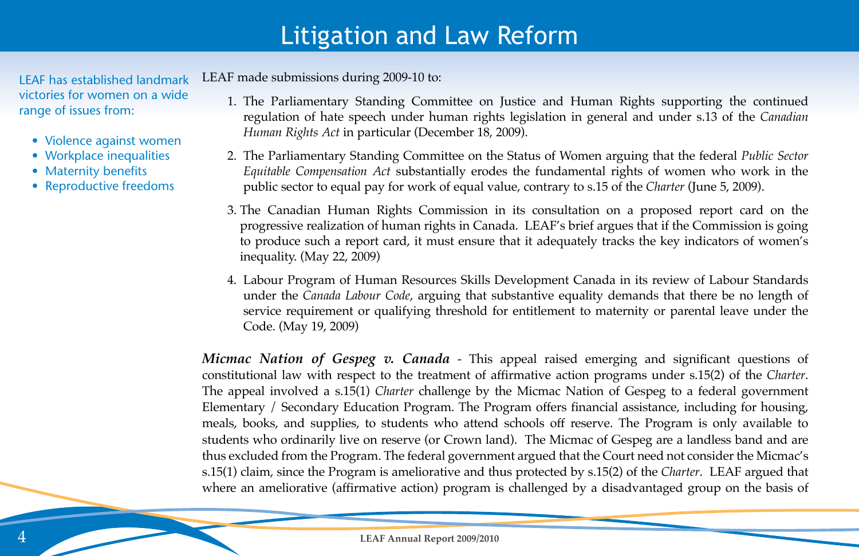LEAF has established landmark victories for women on a wide range of issues from:

- Violence against women
- Workplace inequalities
- Maternity benefits
- Reproductive freedoms

LEAF made submissions during 2009-10 to:

- 1. The Parliamentary Standing Committee on Justice and Human Rights supporting the continued regulation of hate speech under human rights legislation in general and under s.13 of the *Canadian Human Rights Act* in particular (December 18, 2009).
- 2. The Parliamentary Standing Committee on the Status of Women arguing that the federal Public Sector *Equitable Compensation Act* substantially erodes the fundamental rights of women who work in the public sector to equal pay for work of equal value, contrary to s.15 of the *Charter* (June 5, 2009).
- 3. The Canadian Human Rights Commission in its consultation on a proposed report card on the progressive realization of human rights in Canada. LEAF's brief argues that if the Commission is going to produce such a report card, it must ensure that it adequately tracks the key indicators of women's inequality. (May 22, 2009)
- 4. Labour Program of Human Resources Skills Development Canada in its review of Labour Standards under the Canada Labour Code, arguing that substantive equality demands that there be no length of service requirement or qualifying threshold for entitlement to maternity or parental leave under the Code. (May 19, 2009)

*Micmac Nation of Gespeg v. Canada* - This appeal raised emerging and significant questions of constitutional law with respect to the treatment of affirmative action programs under s.15(2) of the *Charter*. The appeal involved a s.15(1) *Charter* challenge by the Micmac Nation of Gespeg to a federal government Elementary / Secondary Education Program. The Program offers financial assistance, including for housing, meals, books, and supplies, to students who attend schools off reserve. The Program is only available to students who ordinarily live on reserve (or Crown land). The Micmac of Gespeg are a landless band and are thus excluded from the Program. The federal government argued that the Court need not consider the Micmac's s.15(1) claim, since the Program is ameliorative and thus protected by s.15(2) of the Charter. LEAF argued that where an ameliorative (affirmative action) program is challenged by a disadvantaged group on the basis of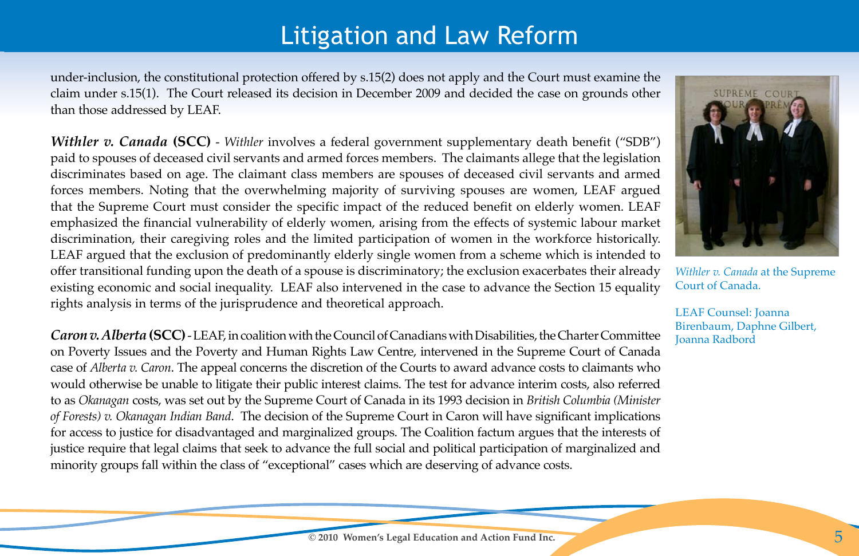under-inclusion, the constitutional protection offered by s.15(2) does not apply and the Court must examine the claim under s.15(1). The Court released its decision in December 2009 and decided the case on grounds other than those addressed by LEAF.

*Withler v. Canada* (**SCC**) - *Withler* involves a federal government supplementary death benefit ("SDB") paid to spouses of deceased civil servants and armed forces members. The claimants allege that the legislation discriminates based on age. The claimant class members are spouses of deceased civil servants and armed forces members. Noting that the overwhelming majority of surviving spouses are women, LEAF argued that the Supreme Court must consider the specific impact of the reduced benefit on elderly women. LEAF emphasized the financial vulnerability of elderly women, arising from the effects of systemic labour market discrimination, their caregiving roles and the limited participation of women in the workforce historically. LEAF argued that the exclusion of predominantly elderly single women from a scheme which is intended to offer transitional funding upon the death of a spouse is discriminatory; the exclusion exacerbates their already existing economic and social inequality. LEAF also intervened in the case to advance the Section 15 equality rights analysis in terms of the jurisprudence and theoretical approach.

*Caron v. Alberta* (SCC) - LEAF, in coalition with the Council of Canadians with Disabilities, the Charter Committee on Poverty Issues and the Poverty and Human Rights Law Centre, intervened in the Supreme Court of Canada case of *Alberta v. Caron*. The appeal concerns the discretion of the Courts to award advance costs to claimants who would otherwise be unable to litigate their public interest claims. The test for advance interim costs, also referred to as *Okanagan* costs, was set out by the Supreme Court of Canada in its 1993 decision in British Columbia (Minister *of Forests) v. Okanagan Indian Band*. The decision of the Supreme Court in Caron will have significant implications for access to justice for disadvantaged and marginalized groups. The Coalition factum argues that the interests of justice require that legal claims that seek to advance the full social and political participation of marginalized and minority groups fall within the class of "exceptional" cases which are deserving of advance costs.



*Withler v. Canada* at the Supreme Court of Canada.

LEAF Counsel: Joanna Birenbaum, Daphne Gilbert, **Joanna Radbord**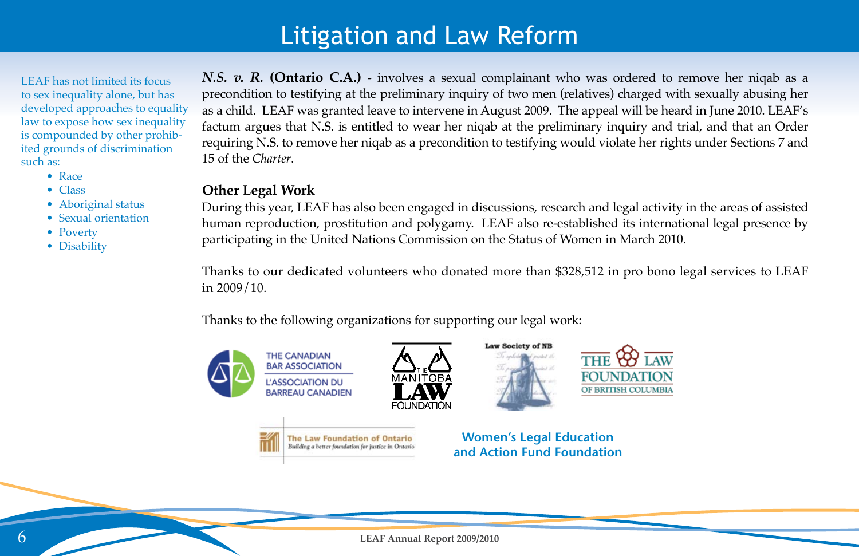LEAF has not limited its focus to sex inequality alone, but has developed approaches to equality law to expose how sex inequality is compounded by other prohibited grounds of discrimination such as:

- $\bullet$  Race
- $\bullet$  Class
- Aboriginal status
- Sexual orientation
- Poverty
- Disability

*N.S. v. R.* **(Ontario C.A.)** - involves a sexual complainant who was ordered to remove her niqab as a precondition to testifying at the preliminary inquiry of two men (relatives) charged with sexually abusing her as a child. LEAF was granted leave to intervene in August 2009. The appeal will be heard in June 2010. LEAF's factum argues that N.S. is entitled to wear her nigab at the preliminary inquiry and trial, and that an Order requiring N.S. to remove her niqab as a precondition to testifying would violate her rights under Sections 7 and 15 of the *Charter*.

### **Other Legal Work**

During this year, LEAF has also been engaged in discussions, research and legal activity in the areas of assisted human reproduction, prostitution and polygamy. LEAF also re-established its international legal presence by participating in the United Nations Commission on the Status of Women in March 2010.

Thanks to our dedicated volunteers who donated more than \$328,512 in pro bono legal services to LEAF in  $2009/10$ .

Thanks to the following organizations for supporting our legal work:

**The Law Foundation of Ontario** Building a better foundation for justice in Ontario







**Women's Legal Education and Action Fund Foundation**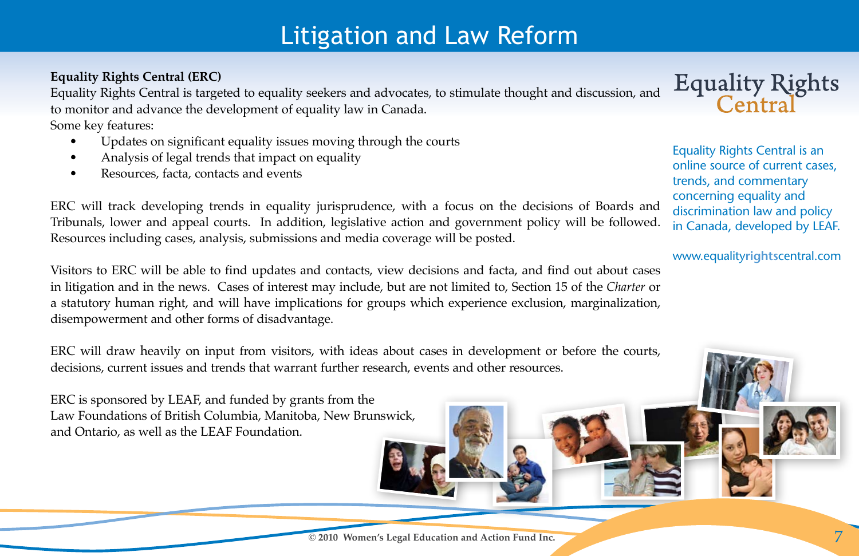### **Equality Rights Central (ERC)**

Equality Rights Central is targeted to equality seekers and advocates, to stimulate thought and discussion, and to monitor and advance the development of equality law in Canada. Some key features:

- Updates on significant equality issues moving through the courts
- Analysis of legal trends that impact on equality  $\bullet$
- Resources, facta, contacts and events  $\bullet$

ERC will track developing trends in equality jurisprudence, with a focus on the decisions of Boards and Tribunals, lower and appeal courts. In addition, legislative action and government policy will be followed. Resources including cases, analysis, submissions and media coverage will be posted.

Visitors to ERC will be able to find updates and contacts, view decisions and facta, and find out about cases in litigation and in the news. Cases of interest may include, but are not limited to, Section 15 of the Charter or a statutory human right, and will have implications for groups which experience exclusion, marginalization, disempowerment and other forms of disadvantage.

ERC will draw heavily on input from visitors, with ideas about cases in development or before the courts, decisions, current issues and trends that warrant further research, events and other resources.

ERC is sponsored by LEAF, and funded by grants from the Law Foundations of British Columbia, Manitoba, New Brunswick, and Ontario, as well as the LEAF Foundation.

Equality Rights

**Equality Rights Central is an** online source of current cases. trends, and commentary concerning equality and discrimination law and policy in Canada, developed by LEAF.

www.equalityrightscentral.com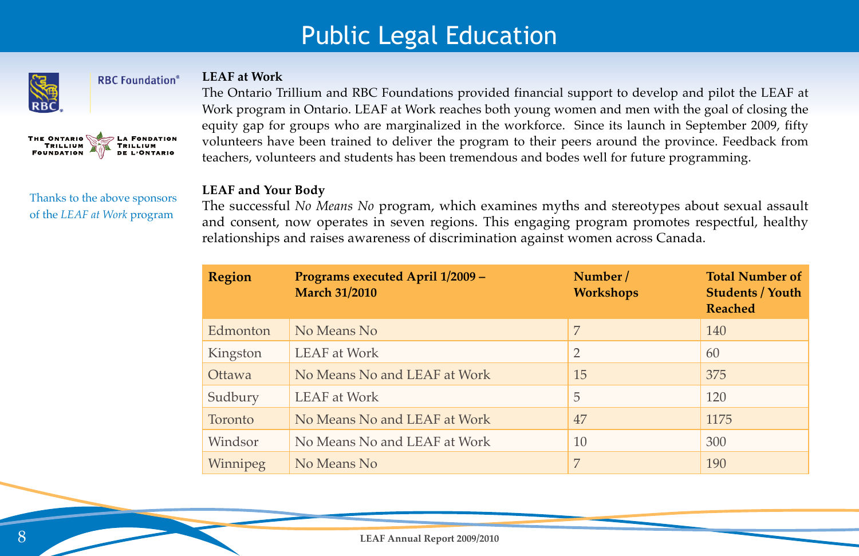# Public Legal Education



#### **RBC** Foundation<sup>®</sup>

#### **LEAF at Work**



Thanks to the above sponsors of the LEAF at Work program

The Ontario Trillium and RBC Foundations provided financial support to develop and pilot the LEAF at Work program in Ontario. LEAF at Work reaches both young women and men with the goal of closing the equity gap for groups who are marginalized in the workforce. Since its launch in September 2009, fifty volunteers have been trained to deliver the program to their peers around the province. Feedback from teachers, volunteers and students has been tremendous and bodes well for future programming.

#### **LEAF and Your Body**

The successful *No Means No* program, which examines myths and stereotypes about sexual assault and consent, now operates in seven regions. This engaging program promotes respectful, healthy relationships and raises awareness of discrimination against women across Canada.

| <b>Region</b> | Programs executed April 1/2009 -<br><b>March 31/2010</b> | Number/<br><b>Workshops</b> | <b>Total Number of</b><br><b>Students / Youth</b><br><b>Reached</b> |
|---------------|----------------------------------------------------------|-----------------------------|---------------------------------------------------------------------|
| Edmonton      | No Means No                                              | 7                           | 140                                                                 |
| Kingston      | LEAF at Work                                             | 2                           | 60                                                                  |
| Ottawa        | No Means No and LEAF at Work                             | 15                          | 375                                                                 |
| Sudbury       | <b>LEAF</b> at Work                                      | 5                           | 120                                                                 |
| Toronto       | No Means No and LEAF at Work                             | 47                          | 1175                                                                |
| Windsor       | No Means No and LEAF at Work                             | 10                          | 300                                                                 |
| Winnipeg      | No Means No                                              | 7                           | 190                                                                 |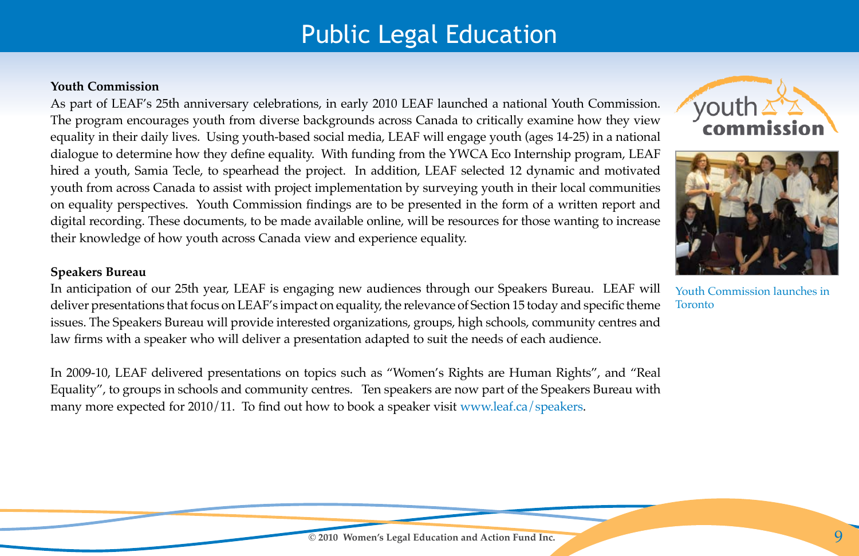# Public Legal Education

#### **Youth Commission**

As part of LEAF's 25th anniversary celebrations, in early 2010 LEAF launched a national Youth Commission. The program encourages youth from diverse backgrounds across Canada to critically examine how they view equality in their daily lives. Using youth-based social media, LEAF will engage youth (ages 14-25) in a national dialogue to determine how they define equality. With funding from the YWCA Eco Internship program, LEAF hired a youth, Samia Tecle, to spearhead the project. In addition, LEAF selected 12 dynamic and motivated youth from across Canada to assist with project implementation by surveying youth in their local communities on equality perspectives. Youth Commission findings are to be presented in the form of a written report and digital recording. These documents, to be made available online, will be resources for those wanting to increase their knowledge of how youth across Canada view and experience equality.

#### **Speakers Bureau**

In anticipation of our 25th year, LEAF is engaging new audiences through our Speakers Bureau. LEAF will deliver presentations that focus on LEAF's impact on equality, the relevance of Section 15 today and specific theme issues. The Speakers Bureau will provide interested organizations, groups, high schools, community centres and law firms with a speaker who will deliver a presentation adapted to suit the needs of each audience.

In 2009-10, LEAF delivered presentations on topics such as "Women's Rights are Human Rights", and "Real Equality", to groups in schools and community centres. Ten speakers are now part of the Speakers Bureau with many more expected for 2010/11. To find out how to book a speaker visit www.leaf.ca/speakers.





Youth Commission launches in Toronto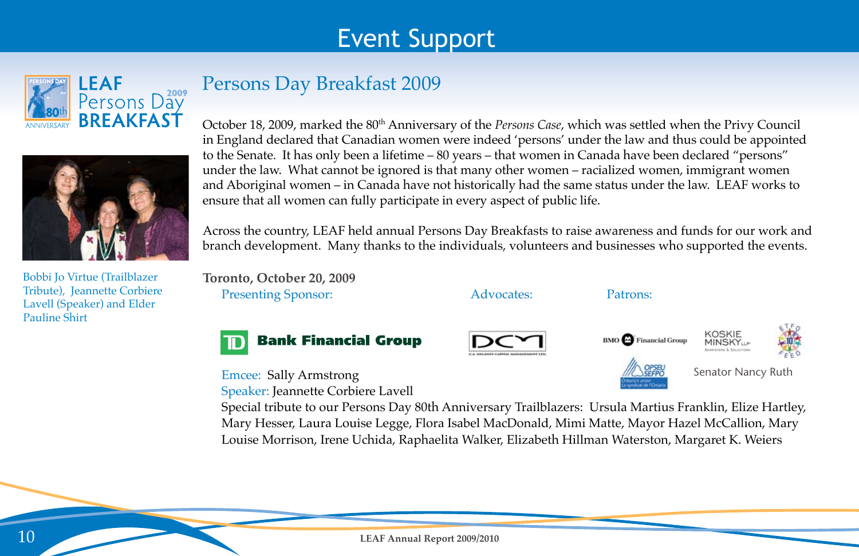# **Event Support**

# **Persons Day Breakfast 2009**



**LEAF** 

Persons Day **BREAKFAST** 

Bobbi Io Virtue (Trailblazer Tribute), Jeannette Corbiere Lavell (Speaker) and Elder Pauline Shirt

October 18, 2009, marked the 80<sup>th</sup> Anniversary of the Persons Case, which was settled when the Privy Council in England declared that Canadian women were indeed 'persons' under the law and thus could be appointed to the Senate. It has only been a lifetime - 80 years - that women in Canada have been declared "persons" under the law. What cannot be ignored is that many other women – racialized women, immigrant women and Aboriginal women - in Canada have not historically had the same status under the law. LEAF works to ensure that all women can fully participate in every aspect of public life.

Across the country, LEAF held annual Persons Day Breakfasts to raise awareness and funds for our work and branch development. Many thanks to the individuals, volunteers and businesses who supported the events.

Toronto, October 20, 2009 **Presenting Sponsor:** 

Advocates:

#### Patrons:



**Emcee: Sally Armstrong** Speaker: Jeannette Corbiere Lavell







Senator Nancy Ruth

Special tribute to our Persons Day 80th Anniversary Trailblazers: Ursula Martius Franklin, Elize Hartley, Mary Hesser, Laura Louise Legge, Flora Isabel MacDonald, Mimi Matte, Mayor Hazel McCallion, Mary Louise Morrison, Irene Uchida, Raphaelita Walker, Elizabeth Hillman Waterston, Margaret K. Weiers

**LEAF Annual Report 2009/2010**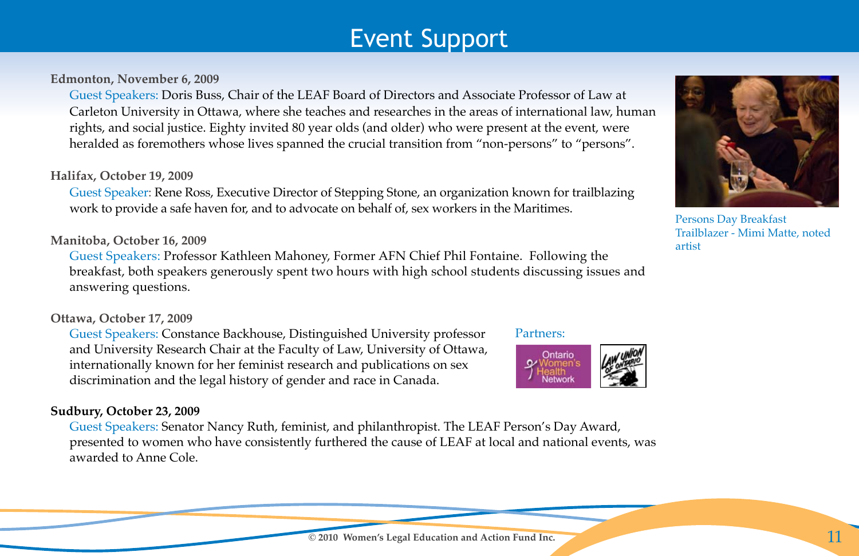# Event Support

#### **Edmonton, November 6, 2009**

Guest Speakers: Doris Buss, Chair of the LEAF Board of Directors and Associate Professor of Law at Carleton University in Ottawa, where she teaches and researches in the areas of international law, human rights, and social justice. Eighty invited 80 year olds (and older) who were present at the event, were heralded as foremothers whose lives spanned the crucial transition from "non-persons" to "persons".

#### **Halifax, October 19, 2009**

Guest Speaker: Rene Ross, Executive Director of Stepping Stone, an organization known for trailblazing work to provide a safe haven for, and to advocate on behalf of, sex workers in the Maritimes.

#### **Manitoba, October 16, 2009**

Guest Speakers: Professor Kathleen Mahoney, Former AFN Chief Phil Fontaine. Following the breakfast, both speakers generously spent two hours with high school students discussing issues and answering questions.

### **Ottawa, October 17, 2009**

Guest Speakers: Constance Backhouse, Distinguished University professor and University Research Chair at the Faculty of Law, University of Ottawa, internationally known for her feminist research and publications on sex discrimination and the legal history of gender and race in Canada.

### **Sudbury, October 23, 2009**

Guest Speakers: Senator Nancy Ruth, feminist, and philanthropist. The LEAF Person's Day Award, presented to women who have consistently furthered the cause of LEAF at local and national events, was awarded to Anne Cole.



artist

#### Partners:

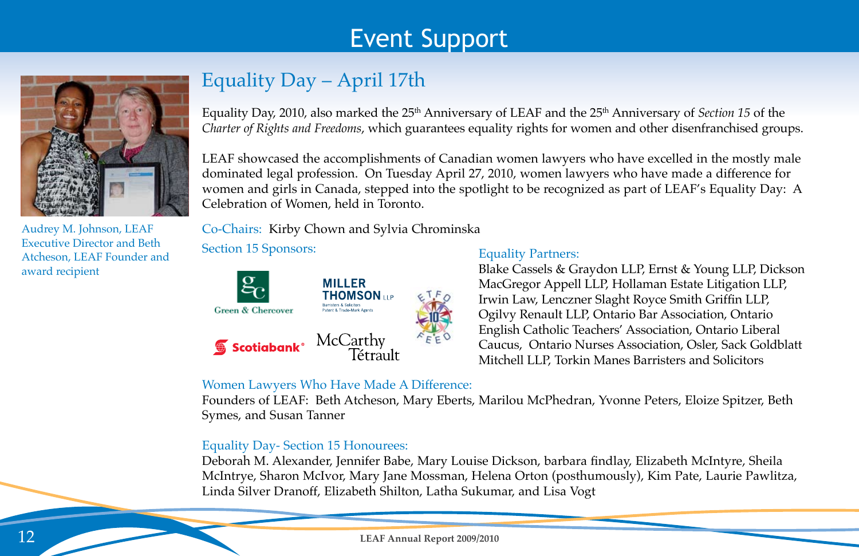# Event Support



Audrey M. Johnson, LEAF Executive Director and Beth Atcheson, LEAF Founder and award recipient

# Equality Day - April 17th

Equality Day, 2010, also marked the 25<sup>th</sup> Anniversary of LEAF and the 25<sup>th</sup> Anniversary of *Section 15* of the *Charter of Rights and Freedoms, which guarantees equality rights for women and other disenfranchised groups.* 

LEAF showcased the accomplishments of Canadian women lawyers who have excelled in the mostly male dominated legal profession. On Tuesday April 27, 2010, women lawyers who have made a difference for women and girls in Canada, stepped into the spotlight to be recognized as part of LEAF's Equality Day: A Celebration of Women, held in Toronto.

Co-Chairs: Kirby Chown and Sylvia Chrominska

Section 15 Sponsors:



#### Equality Partners:

Blake Cassels & Graydon LLP, Ernst & Young LLP, Dickson MacGregor Appell LLP, Hollaman Estate Litigation LLP, Irwin Law, Lenczner Slaght Royce Smith Griffin LLP, Ogilvy Renault LLP, Ontario Bar Association, Ontario English Catholic Teachers' Association, Ontario Liberal Caucus, Ontario Nurses Association, Osler, Sack Goldblatt Mitchell LLP, Torkin Manes Barristers and Solicitors

### Women Lawyers Who Have Made A Difference:

Founders of LEAF: Beth Atcheson, Mary Eberts, Marilou McPhedran, Yvonne Peters, Eloize Spitzer, Beth Symes, and Susan Tanner

### Equality Day- Section 15 Honourees:

Deborah M. Alexander, Jennifer Babe, Mary Louise Dickson, barbara findlay, Elizabeth McIntyre, Sheila McIntrye, Sharon McIvor, Mary Jane Mossman, Helena Orton (posthumously), Kim Pate, Laurie Pawlitza, Linda Silver Dranoff, Elizabeth Shilton, Latha Sukumar, and Lisa Vogt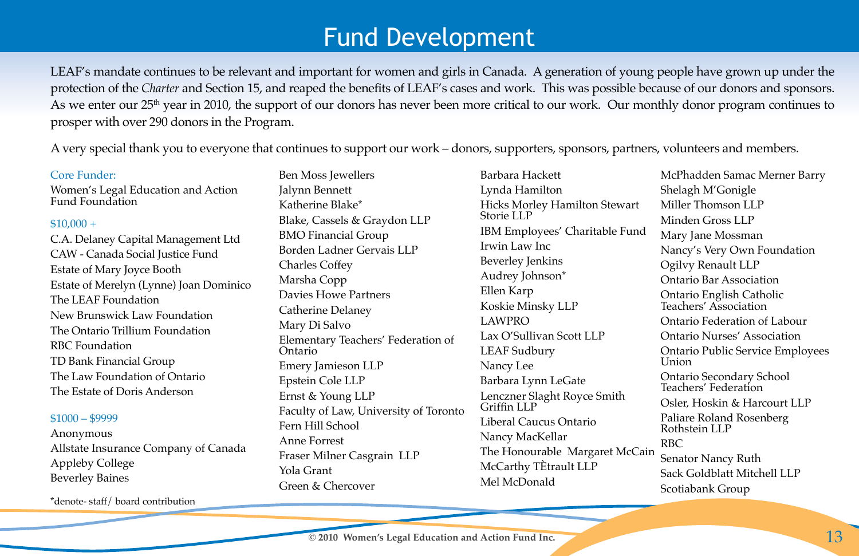# **Fund Development**

LEAF's mandate continues to be relevant and important for women and girls in Canada. A generation of young people have grown up under the protection of the Charter and Section 15, and reaped the benefits of LEAF's cases and work. This was possible because of our donors and sponsors. As we enter our 25<sup>th</sup> year in 2010, the support of our donors has never been more critical to our work. Our monthly donor program continues to prosper with over 290 donors in the Program.

A very special thank you to everyone that continues to support our work – donors, supporters, sponsors, partners, volunteers and members.

#### Core Funder:

Women's Legal Education and Action Fund Foundation

#### $$10,000 +$

C.A. Delaney Capital Management Ltd CAW - Canada Social Iustice Fund Estate of Mary Joyce Booth Estate of Merelyn (Lynne) Joan Dominico The LEAF Foundation New Brunswick Law Foundation The Ontario Trillium Foundation RBC Foundation TD Bank Financial Group The Law Foundation of Ontario The Estate of Doris Anderson

#### $$1000 - $9999$

Anonymous Allstate Insurance Company of Canada Appleby College **Beverley Baines** 

\*denote-staff/ board contribution

**Ben Moss Jewellers Jalynn Bennett** Katherine Blake\* Blake, Cassels & Graydon LLP **BMO Financial Group** Borden Ladner Gervais LLP Charles Coffey Marsha Copp Davies Howe Partners Catherine Delaney Mary Di Salvo Elementary Teachers' Federation of Ontario Emery Jamieson LLP Epstein Cole LLP Ernst & Young LLP Faculty of Law, University of Toronto Fern Hill School Anne Forrest Fraser Milner Casgrain LLP Yola Grant Green & Chercover

Barbara Hackett Lynda Hamilton Hicks Morley Hamilton Stewart Storie LLP IBM Employees' Charitable Fund Irwin Law Inc **Beverley Jenkins** Audrey Johnson\* Ellen Karp Koskie Minsky LLP **LAWPRO** Lax O'Sullivan Scott LLP **LEAF** Sudbury Nancy Lee Barbara Lynn LeGate Lenczner Slaght Royce Smith<br>Griffin LLP Liberal Caucus Ontario Nancy MacKellar The Honourable Margaret McCain McCarthy TÈtrault LLP Mel McDonald

McPhadden Samac Merner Barry Shelagh M'Gonigle Miller Thomson LLP Minden Gross LLP Mary Jane Mossman Nancy's Very Own Foundation Ogilvy Renault LLP Ontario Bar Association Ontario English Catholic Teachers' Association Ontario Federation of Labour **Ontario Nurses' Association** Ontario Public Service Employees Union Ontario Secondary School Teachers' Federation Osler, Hoskin & Harcourt LLP Paliare Roland Rosenberg Rothstein LLP **RBC** Senator Nancy Ruth Sack Goldblatt Mitchell LLP Scotiabank Group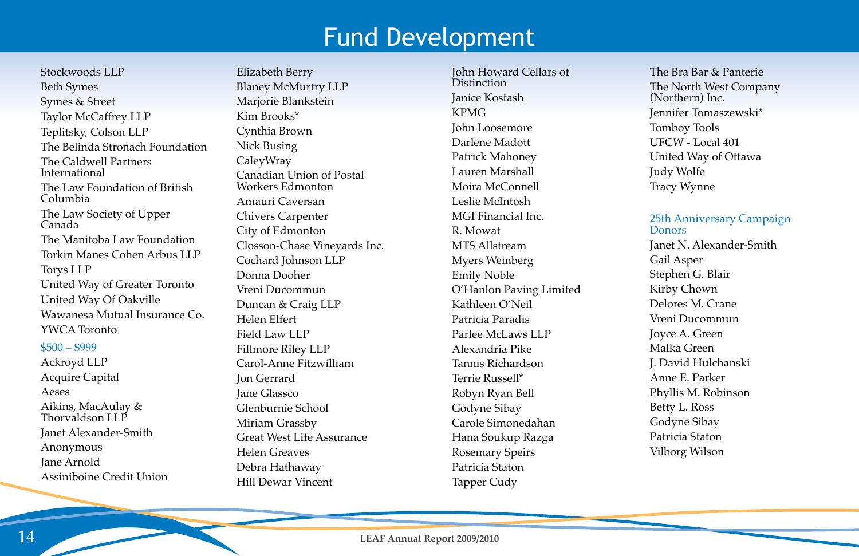# **Fund Development**

Stockwoods LLP **Beth Symes** Symes & Street Taylor McCaffrey LLP Teplitsky, Colson LLP The Belinda Stronach Foundation The Caldwell Partners International The Law Foundation of British Columbia The Law Society of Upper Canada The Manitoba Law Foundation Torkin Manes Cohen Arbus LLP Torvs LLP United Way of Greater Toronto United Way Of Oakville Wawanesa Mutual Insurance Co. YWCA Toronto

#### $$500 - $999$

Ackroyd LLP Acquire Capital Aeses Aikins, MacAulay & Thorvaldson LLP **Janet Alexander-Smith** Anonymous Jane Arnold Assiniboine Credit Union

Elizabeth Berry **Blaney McMurtry LLP** Mariorie Blankstein Kim Brooks\* Cynthia Brown Nick Busing CaleyWray Canadian Union of Postal Workers Edmonton Amauri Caversan **Chivers Carpenter** City of Edmonton Closson-Chase Vineyards Inc. Cochard Johnson LLP Donna Dooher Vreni Ducommun Duncan & Craig LLP Helen Elfert Field Law LLP **Fillmore Riley LLP** Carol-Anne Fitzwilliam **Ion Gerrard Iane Glassco** Glenburnie School Miriam Grassby Great West Life Assurance Helen Greaves Debra Hathaway Hill Dewar Vincent

John Howard Cellars of Distinction Janice Kostash **KPMG** John Loosemore Darlene Madott Patrick Mahonev Lauren Marshall Moira McConnell Leslie McIntosh MGI Financial Inc. R. Mowat MTS Allstream Mvers Weinberg **Emily Noble** O'Hanlon Paving Limited Kathleen O'Neil Patricia Paradis Parlee McLaws LLP Alexandria Pike Tannis Richardson Terrie Russell\* Robyn Ryan Bell Godyne Sibay Carole Simonedahan Hana Soukup Razga **Rosemary Speirs** Patricia Staton Tapper Cudy

The Bra Bar & Panterie The North West Company (Northern) Inc. Jennifer Tomaszewski\* **Tomboy Tools UFCW - Local 401** United Way of Ottawa Judy Wolfe **Tracy Wynne** 

#### 25th Anniversary Campaign Donors

Janet N Alexander-Smith Gail Asper Stephen G. Blair Kirby Chown Delores M. Crane Vreni Ducommun Jovce A. Green Malka Green I David Hulchanski Anne E. Parker Phyllis M. Robinson Betty L. Ross Godyne Sibay Patricia Staton Vilborg Wilson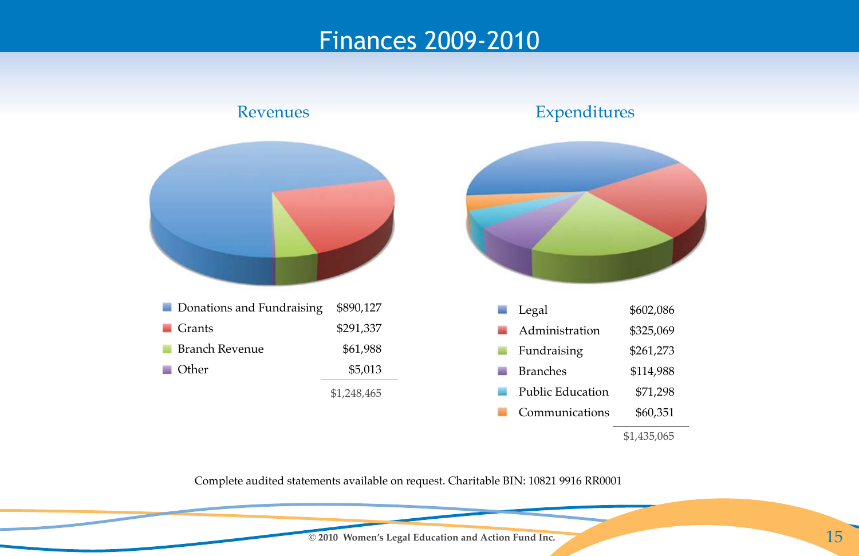# Finances 2009-2010



\$1,435,065

Complete audited statements available on request. Charitable BIN: 10821 9916 RR0001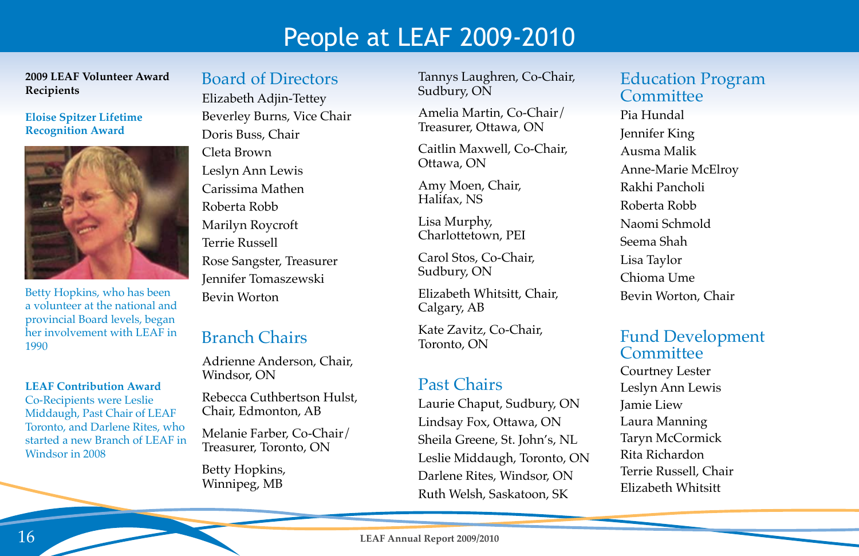# People at LEAF 2009-2010

2009 LEAF Volunteer Award Recipients

#### **Eloise Spitzer Lifetime Recognition Award**



Betty Hopkins, who has been a volunteer at the national and provincial Board levels, began her involvement with LEAF in 1990

**LEAF Contribution Award** Co-Recipients were Leslie Middaugh, Past Chair of LEAF Toronto, and Darlene Rites, who started a new Branch of LEAF in Windsor in 2008

### **Board of Directors**

Elizabeth Adjin-Tettey Beverley Burns, Vice Chair Doris Buss, Chair Cleta Brown Leslyn Ann Lewis Carissima Mathen Roberta Robb Marilyn Roycroft **Terrie Russell** Rose Sangster, Treasurer **Jennifer Tomaszewski** Bevin Worton

# **Branch Chairs**

Adrienne Anderson, Chair, Windsor. ON

Rebecca Cuthbertson Hulst. Chair, Edmonton, AB

Melanie Farber. Co-Chair/ Treasurer, Toronto, ON

Betty Hopkins, Winnipeg, MB

Tannys Laughren, Co-Chair, Sudbury, ON

Amelia Martin, Co-Chair/ Treasurer, Ottawa, ON

Caitlin Maxwell. Co-Chair. Ottawa, ON

Amy Moen, Chair, Halifax, NS

Lisa Murphy, Charlottetown, PEI

Carol Stos. Co-Chair. Sudbury, ON

Elizabeth Whitsitt, Chair, Calgary, AB

Kate Zavitz, Co-Chair, Toronto, ON

### **Past Chairs**

Laurie Chaput, Sudbury, ON Lindsay Fox, Ottawa, ON Sheila Greene. St. John's. NL Leslie Middaugh, Toronto, ON Darlene Rites, Windsor, ON Ruth Welsh, Saskatoon, SK

### **Education Program**  $Commit$

Pia Hundal Jennifer King Ausma Malik Anne-Marie McElroy Rakhi Pancholi Roberta Robb Naomi Schmold Seema Shah Lisa Taylor Chioma Ume Bevin Worton, Chair

### **Fund Development** Committee

Courtney Lester Leslyn Ann Lewis **Jamie Liew** Laura Manning Taryn McCormick Rita Richardon Terrie Russell, Chair Elizabeth Whitsitt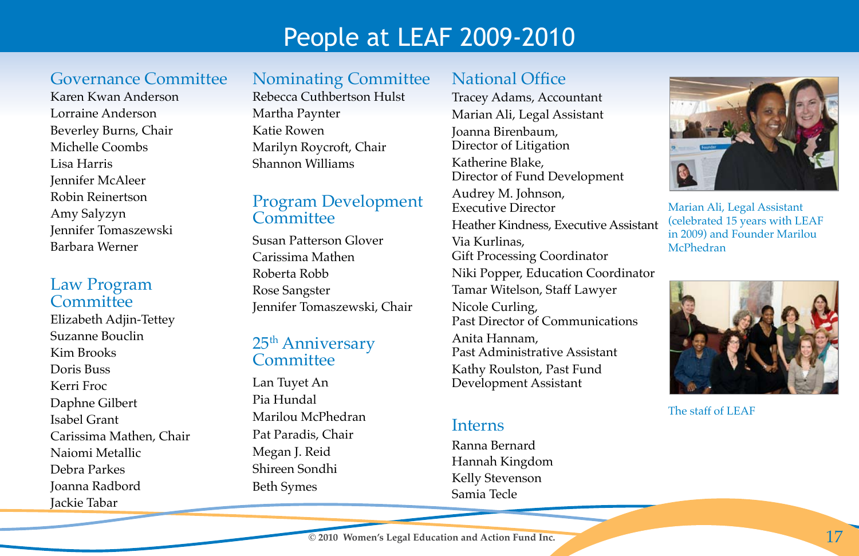# People at LEAF 2009-2010

# Governance Committee

Karen Kwan Anderson Lorraine Anderson Beverley Burns, Chair Michelle Coombs Lisa Harris **Jennifer McAleer** Robin Reinertson Amy Salyzyn Jennifer Tomaszewski Barbara Werner

# Law Program  $Commit$

Elizabeth Adjin-Tettey Suzanne Bouclin Kim Brooks Doris Buss Kerri Froc Daphne Gilbert Isabel Grant Carissima Mathen, Chair Najomi Metallic Debra Parkes Ioanna Radbord **Jackie Tabar** 

### **Nominating Committee**

Rebecca Cuthbertson Hulst Martha Pavnter Katie Rowen Marilyn Roycroft, Chair Shannon Williams

# Program Development Committee

Susan Patterson Glover Carissima Mathen Roberta Robb Rose Sangster Jennifer Tomaszewski, Chair

### 25<sup>th</sup> Anniversary Committee

Lan Tuvet An Pia Hundal Marilou McPhedran Pat Paradis, Chair Megan J. Reid Shireen Sondhi Beth Symes

# National Office

Tracey Adams, Accountant Marian Ali, Legal Assistant Joanna Birenbaum. Director of Litigation Katherine Blake. Director of Fund Development Audrey M. Johnson, Executive Director Heather Kindness, Executive Assistant Via Kurlinas, Gift Processing Coordinator Niki Popper, Education Coordinator Tamar Witelson, Staff Lawyer Nicole Curling, Past Director of Communications Anita Hannam. Past Administrative Assistant Kathy Roulston, Past Fund Development Assistant

### **Interns**

Ranna Bernard Hannah Kingdom Kelly Stevenson Samia Tecle



Marian Ali, Legal Assistant  $(celebrated 15 years with LEAF)$ in 2009) and Founder Marilou McPhedran



The staff of LEAF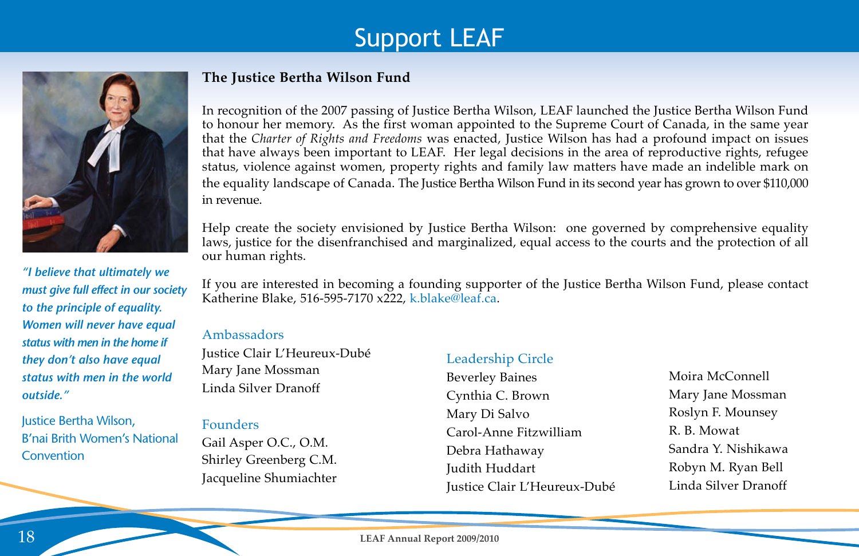# **7KH-XVIWLFH Support LEAF**



*"I believe that ultimately we must give full effect in our society to the principle of equality. Women will never have equal status with men in the home if they don't also have equal status with men in the world outside."*

lustice Bertha Wilson. B'nai Brith Women's National Convention

### **The Justice Bertha Wilson Fund**

In recognition of the 2007 passing of Justice Bertha Wilson, LEAF launched the Justice Bertha Wilson Fund to honour her memory. As the first woman appointed to the Supreme Court of Canada, in the same year that the Charter of Rights and Freedoms was enacted, Justice Wilson has had a profound impact on issues that have always been important to LEAF. Her legal decisions in the area of reproductive rights, refugee status, violence against women, property rights and family law matters have made an indelible mark on the equality landscape of Canada. The Justice Bertha Wilson Fund in its second year has grown to over \$110,000 in revenue.

Help create the society envisioned by Justice Bertha Wilson: one governed by comprehensive equality laws, justice for the disenfranchised and marginalized, equal access to the courts and the protection of all our human rights.

If you are interested in becoming a founding supporter of the Justice Bertha Wilson Fund, please contact Katherine Blake, 516-595-7170 x222, k.blake@leaf.ca.

#### Ambassadors

Justice Clair L'Heureux-Dubé Mary Jane Mossman Linda Silver Dranoff

#### Founders

Gail Asper O.C., O.M. Shirley Greenberg C.M. Jacqueline Shumiachter

#### Leadership Circle

Beverley Baines Cynthia C. Brown Mary Di Salvo Carol-Anne Fitzwilliam Debra Hathaway **Judith Huddart** Justice Clair L'Heureux-Dubé Moira McConnell Mary Jane Mossman Roslyn F. Mounsey R B Mowat Sandra Y. Nishikawa Robyn M. Ryan Bell Linda Silver Dranoff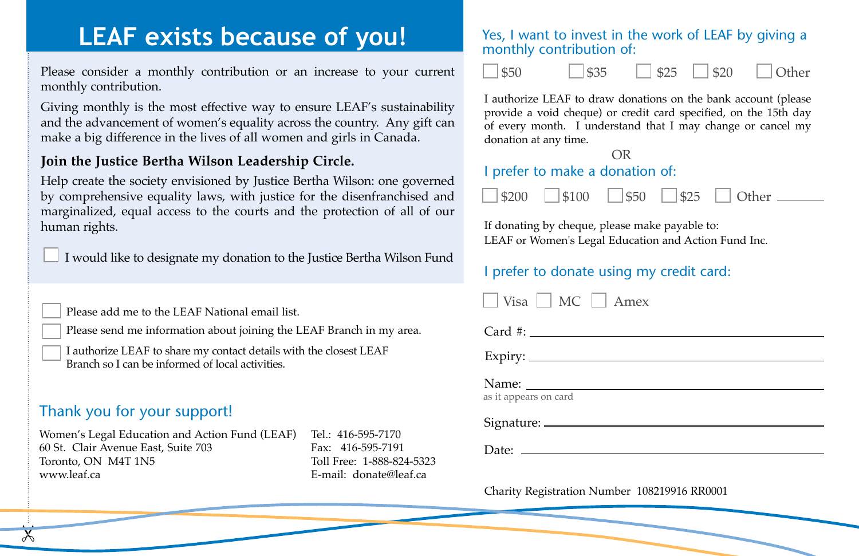# **LEAF exists because of you!**

Please consider a monthly contribution or an increase to your current monthly contribution.

Giving monthly is the most effective way to ensure LEAF's sustainability and the advancement of women's equality across the country. Any gift can make a big difference in the lives of all women and girls in Canada.

### **Join the Justice Bertha Wilson Leadership Circle.**

Help create the society envisioned by Justice Bertha Wilson: one governed by comprehensive equality laws, with justice for the disenfranchised and marginalized, equal access to the courts and the protection of all of our human rights.

I would like to designate my donation to the Justice Bertha Wilson Fund

Please add me to the LEAF National email list.

Please send me information about joining the LEAF Branch in my area.

I authorize LEAF to share my contact details with the closest LEAF Branch so I can be informed of local activities.

# Thank you for your support!

 $\overleftarrow{\mathsf{X}}$ 

Women's Legal Education and Action Fund (LEAF) 60 St. Clair Avenue East, Suite 703 Toronto, ON M4T 1N5 www.leaf.ca  $Tel: 416-595-7170$ Fax: 416-595-7191 Toll Free: 1-888-824-5323 E-mail: donate@leaf.ca

### Yes, I want to invest in the work of LEAF by giving a monthly contribution of:



I authorize LEAF to draw donations on the bank account (please provide a void cheque) or credit card specified, on the 15th day of every month. I understand that I may change or cancel my donation at any time.



If donating by cheque, please make payable to: LEAF or Women's Legal Education and Action Fund Inc.

### I prefer to donate using my credit card:

| $\Box$ Visa $\Box$ MC $\Box$ Amex |  |  |
|-----------------------------------|--|--|
|                                   |  |  |
|                                   |  |  |
| as it appears on card             |  |  |
| Signature:                        |  |  |
| Date: $\qquad \qquad$             |  |  |
|                                   |  |  |

Charity Registration Number 108219916 RR0001